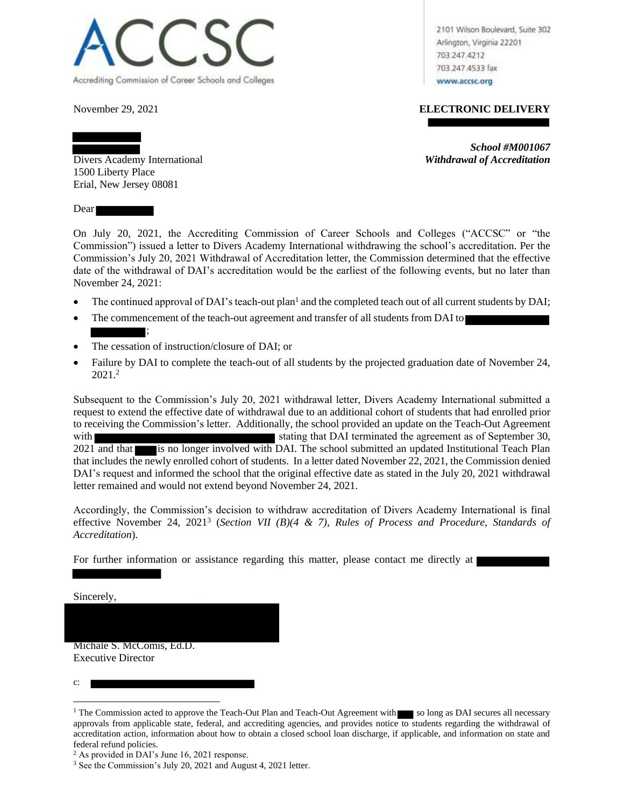

2101 Wilson Boulevard, Suite 302 Arlington, Virginia 22201 703.247.4212 703.247.4533 fax www.accsc.org

## November 29, 2021 **ELECTRONIC DELIVERY**

*School #M001067*

Divers Academy International *Withdrawal of Accreditation* 1500 Liberty Place Erial, New Jersey 08081

Dear

On July 20, 2021, the Accrediting Commission of Career Schools and Colleges ("ACCSC" or "the Commission") issued a letter to Divers Academy International withdrawing the school's accreditation. Per the Commission's July 20, 2021 Withdrawal of Accreditation letter, the Commission determined that the effective date of the withdrawal of DAI's accreditation would be the earliest of the following events, but no later than November 24, 2021:

- The continued approval of DAI's teach-out plan<sup>1</sup> and the completed teach out of all current students by DAI;
- The commencement of the teach-out agreement and transfer of all students from DAI to
- The cessation of instruction/closure of DAI; or

;

• Failure by DAI to complete the teach-out of all students by the projected graduation date of November 24,  $2021.<sup>2</sup>$ 

Subsequent to the Commission's July 20, 2021 withdrawal letter, Divers Academy International submitted a request to extend the effective date of withdrawal due to an additional cohort of students that had enrolled prior to receiving the Commission's letter. Additionally, the school provided an update on the Teach-Out Agreement with stating that DAI terminated the agreement as of September 30, 2021 and that is no longer involved with DAI. The school submitted an updated Institutional Teach Plan that includes the newly enrolled cohort of students. In a letter dated November 22, 2021, the Commission denied DAI's request and informed the school that the original effective date as stated in the July 20, 2021 withdrawal letter remained and would not extend beyond November 24, 2021.

Accordingly, the Commission's decision to withdraw accreditation of Divers Academy International is final effective November 24, 2021<sup>3</sup> (*Section VII (B)(4 & 7), Rules of Process and Procedure, Standards of Accreditation*).

For further information or assistance regarding this matter, please contact me directly at

Sincerely,

Michale S. McComis, Ed.D. Executive Director

c:

<sup>&</sup>lt;sup>1</sup> The Commission acted to approve the Teach-Out Plan and Teach-Out Agreement with so long as DAI secures all necessary approvals from applicable state, federal, and accrediting agencies, and provides notice to students regarding the withdrawal of accreditation action, information about how to obtain a closed school loan discharge, if applicable, and information on state and federal refund policies.

<sup>2</sup> As provided in DAI's June 16, 2021 response.

<sup>3</sup> See the Commission's July 20, 2021 and August 4, 2021 letter.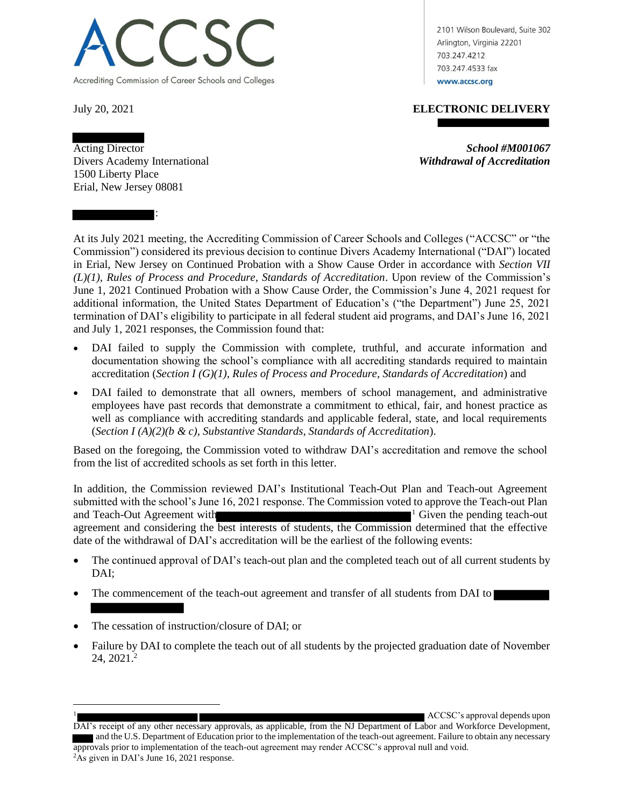

2101 Wilson Boulevard, Suite 302 Arlington, Virginia 22201 703.247.4212 703.247.4533 fax www.accsc.org

# July 20, 2021 **ELECTRONIC DELIVERY**

Acting Director **School #M001067** 

Divers Academy International *Withdrawal of Accreditation* 1500 Liberty Place Erial, New Jersey 08081

:

At its July 2021 meeting, the Accrediting Commission of Career Schools and Colleges ("ACCSC" or "the Commission") considered its previous decision to continue Divers Academy International ("DAI") located in Erial, New Jersey on Continued Probation with a Show Cause Order in accordance with *Section VII (L)(1), Rules of Process and Procedure, Standards of Accreditation*. Upon review of the Commission's June 1, 2021 Continued Probation with a Show Cause Order, the Commission's June 4, 2021 request for additional information, the United States Department of Education's ("the Department") June 25, 2021 termination of DAI's eligibility to participate in all federal student aid programs, and DAI's June 16, 2021 and July 1, 2021 responses, the Commission found that:

- DAI failed to supply the Commission with complete, truthful, and accurate information and documentation showing the school's compliance with all accrediting standards required to maintain accreditation (*Section I (G)(1), Rules of Process and Procedure, Standards of Accreditation*) and
- DAI failed to demonstrate that all owners, members of school management, and administrative employees have past records that demonstrate a commitment to ethical, fair, and honest practice as well as compliance with accrediting standards and applicable federal, state, and local requirements (*Section I (A)(2)(b & c), Substantive Standards, Standards of Accreditation*).

Based on the foregoing, the Commission voted to withdraw DAI's accreditation and remove the school from the list of accredited schools as set forth in this letter.

In addition, the Commission reviewed DAI's Institutional Teach-Out Plan and Teach-out Agreement submitted with the school's June 16, 2021 response. The Commission voted to approve the Teach-out Plan and Teach-Out Agreement with  $\blacksquare$ agreement and considering the best interests of students, the Commission determined that the effective date of the withdrawal of DAI's accreditation will be the earliest of the following events:

- The continued approval of DAI's teach-out plan and the completed teach out of all current students by DAI;
- The commencement of the teach-out agreement and transfer of all students from DAI to
- The cessation of instruction/closure of DAI; or

 $\overline{a}$ 

• Failure by DAI to complete the teach out of all students by the projected graduation date of November 24, 2021. 2

<sup>1</sup> ACCSC's approval depends upon

DAI's receipt of any other necessary approvals, as applicable, from the NJ Department of Labor and Workforce Development, and the U.S. Department of Education prior to the implementation of the teach-out agreement. Failure to obtain any necessary approvals prior to implementation of the teach-out agreement may render ACCSC's approval null and void. <sup>2</sup>As given in DAI's June 16, 2021 response.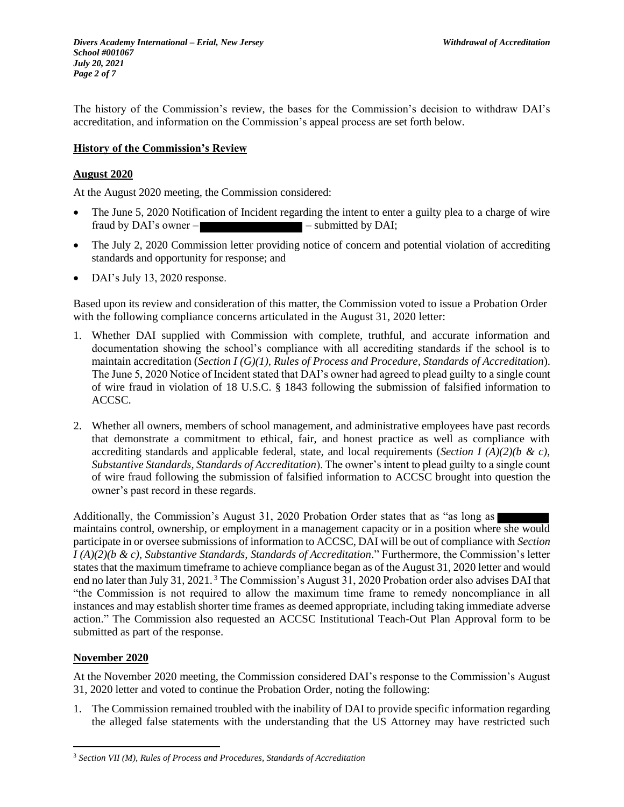The history of the Commission's review, the bases for the Commission's decision to withdraw DAI's accreditation, and information on the Commission's appeal process are set forth below.

## **History of the Commission's Review**

## **August 2020**

At the August 2020 meeting, the Commission considered:

- The June 5, 2020 Notification of Incident regarding the intent to enter a guilty plea to a charge of wire fraud by DAI's owner –  $\blacksquare$  – submitted by DAI;
- The July 2, 2020 Commission letter providing notice of concern and potential violation of accrediting standards and opportunity for response; and
- DAI's July 13, 2020 response.

Based upon its review and consideration of this matter, the Commission voted to issue a Probation Order with the following compliance concerns articulated in the August 31, 2020 letter:

- 1. Whether DAI supplied with Commission with complete, truthful, and accurate information and documentation showing the school's compliance with all accrediting standards if the school is to maintain accreditation (*Section I (G)(1), Rules of Process and Procedure, Standards of Accreditation*). The June 5, 2020 Notice of Incident stated that DAI's owner had agreed to plead guilty to a single count of wire fraud in violation of 18 U.S.C. § 1843 following the submission of falsified information to ACCSC.
- 2. Whether all owners, members of school management, and administrative employees have past records that demonstrate a commitment to ethical, fair, and honest practice as well as compliance with accrediting standards and applicable federal, state, and local requirements (*Section I (A)(2)(b & c)*, *Substantive Standards, Standards of Accreditation*). The owner's intent to plead guilty to a single count of wire fraud following the submission of falsified information to ACCSC brought into question the owner's past record in these regards.

Additionally, the Commission's August 31, 2020 Probation Order states that as "as long as maintains control, ownership, or employment in a management capacity or in a position where she would participate in or oversee submissions of information to ACCSC, DAI will be out of compliance with *Section I (A)(2)(b & c), Substantive Standards, Standards of Accreditation*." Furthermore, the Commission's letter states that the maximum timeframe to achieve compliance began as of the August 31, 2020 letter and would end no later than July 31, 2021.<sup>3</sup> The Commission's August 31, 2020 Probation order also advises DAI that "the Commission is not required to allow the maximum time frame to remedy noncompliance in all instances and may establish shorter time frames as deemed appropriate, including taking immediate adverse action." The Commission also requested an ACCSC Institutional Teach-Out Plan Approval form to be submitted as part of the response.

## **November 2020**

 $\overline{a}$ 

At the November 2020 meeting, the Commission considered DAI's response to the Commission's August 31, 2020 letter and voted to continue the Probation Order, noting the following:

1. The Commission remained troubled with the inability of DAI to provide specific information regarding the alleged false statements with the understanding that the US Attorney may have restricted such

<sup>3</sup> *Section VII (M), Rules of Process and Procedures, Standards of Accreditation*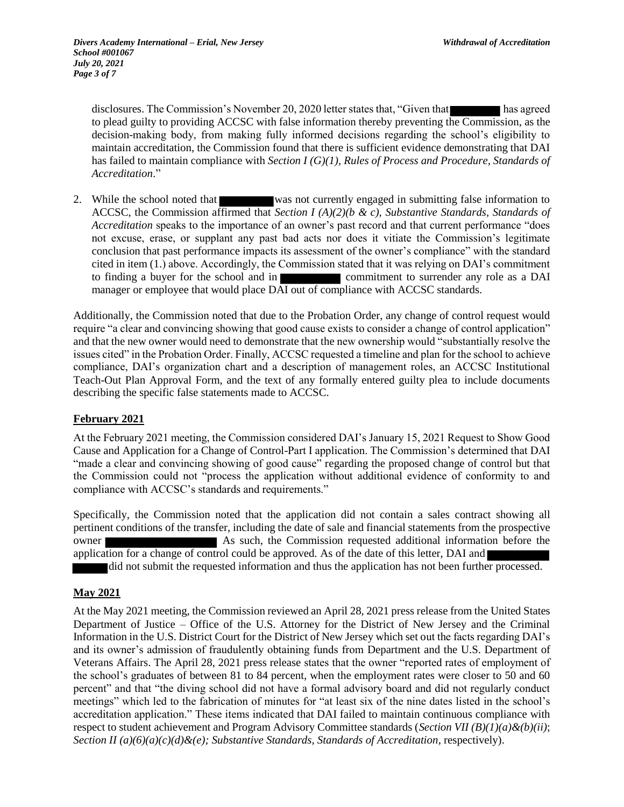disclosures. The Commission's November 20, 2020 letter states that, "Given that has agreed to plead guilty to providing ACCSC with false information thereby preventing the Commission, as the decision-making body, from making fully informed decisions regarding the school's eligibility to maintain accreditation, the Commission found that there is sufficient evidence demonstrating that DAI has failed to maintain compliance with *Section I (G)(1), Rules of Process and Procedure, Standards of Accreditation*."

2. While the school noted that was not currently engaged in submitting false information to ACCSC, the Commission affirmed that *Section I (A)(2)(b & c), Substantive Standards, Standards of Accreditation* speaks to the importance of an owner's past record and that current performance "does not excuse, erase, or supplant any past bad acts nor does it vitiate the Commission's legitimate conclusion that past performance impacts its assessment of the owner's compliance" with the standard cited in item (1.) above. Accordingly, the Commission stated that it was relying on DAI's commitment to finding a buyer for the school and in commitment to surrender any role as a DAI manager or employee that would place DAI out of compliance with ACCSC standards.

Additionally, the Commission noted that due to the Probation Order, any change of control request would require "a clear and convincing showing that good cause exists to consider a change of control application" and that the new owner would need to demonstrate that the new ownership would "substantially resolve the issues cited" in the Probation Order. Finally, ACCSC requested a timeline and plan for the school to achieve compliance, DAI's organization chart and a description of management roles, an ACCSC Institutional Teach-Out Plan Approval Form, and the text of any formally entered guilty plea to include documents describing the specific false statements made to ACCSC.

#### **February 2021**

At the February 2021 meeting, the Commission considered DAI's January 15, 2021 Request to Show Good Cause and Application for a Change of Control-Part I application. The Commission's determined that DAI "made a clear and convincing showing of good cause" regarding the proposed change of control but that the Commission could not "process the application without additional evidence of conformity to and compliance with ACCSC's standards and requirements."

Specifically, the Commission noted that the application did not contain a sales contract showing all pertinent conditions of the transfer, including the date of sale and financial statements from the prospective owner **As such, the Commission requested additional information before the** application for a change of control could be approved. As of the date of this letter, DAI and did not submit the requested information and thus the application has not been further processed.

#### **May 2021**

At the May 2021 meeting, the Commission reviewed an April 28, 2021 press release from the United States Department of Justice – Office of the U.S. Attorney for the District of New Jersey and the Criminal Information in the U.S. District Court for the District of New Jersey which set out the facts regarding DAI's and its owner's admission of fraudulently obtaining funds from Department and the U.S. Department of Veterans Affairs. The April 28, 2021 press release states that the owner "reported rates of employment of the school's graduates of between 81 to 84 percent, when the employment rates were closer to 50 and 60 percent" and that "the diving school did not have a formal advisory board and did not regularly conduct meetings" which led to the fabrication of minutes for "at least six of the nine dates listed in the school's accreditation application." These items indicated that DAI failed to maintain continuous compliance with respect to student achievement and Program Advisory Committee standards (*Section VII (B)(1)(a)&(b)(ii)*; *Section II (a)(6)(a)(c)(d)&(e); Substantive Standards, Standards of Accreditation*, respectively).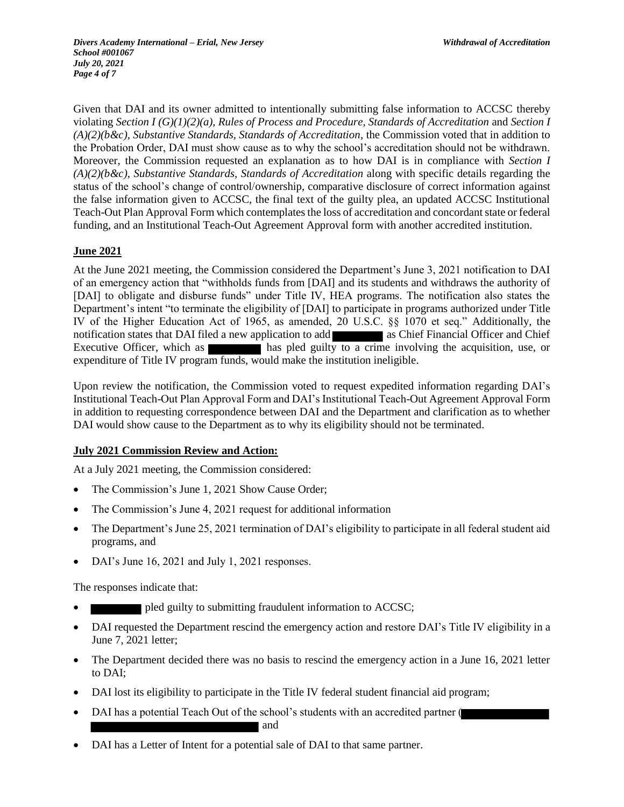*Divers Academy International – Erial, New Jersey Withdrawal of Accreditation School #001067 July 20, 2021 Page 4 of 7*

Given that DAI and its owner admitted to intentionally submitting false information to ACCSC thereby violating *Section I (G)(1)(2)(a), Rules of Process and Procedure, Standards of Accreditation* and *Section I (A)(2)(b&c), Substantive Standards, Standards of Accreditation*, the Commission voted that in addition to the Probation Order, DAI must show cause as to why the school's accreditation should not be withdrawn. Moreover, the Commission requested an explanation as to how DAI is in compliance with *Section I (A)(2)(b&c), Substantive Standards, Standards of Accreditation* along with specific details regarding the status of the school's change of control/ownership, comparative disclosure of correct information against the false information given to ACCSC, the final text of the guilty plea, an updated ACCSC Institutional Teach-Out Plan Approval Form which contemplates the loss of accreditation and concordant state or federal funding, and an Institutional Teach-Out Agreement Approval form with another accredited institution.

## **June 2021**

At the June 2021 meeting, the Commission considered the Department's June 3, 2021 notification to DAI of an emergency action that "withholds funds from [DAI] and its students and withdraws the authority of [DAI] to obligate and disburse funds" under Title IV, HEA programs. The notification also states the Department's intent "to terminate the eligibility of [DAI] to participate in programs authorized under Title IV of the Higher Education Act of 1965, as amended, 20 U.S.C. §§ 1070 et seq." Additionally, the notification states that DAI filed a new application to add as Chief Financial Officer and Chief Executive Officer, which as **has pled guilty to a crime involving the acquisition**, use, or expenditure of Title IV program funds, would make the institution ineligible.

Upon review the notification, the Commission voted to request expedited information regarding DAI's Institutional Teach-Out Plan Approval Form and DAI's Institutional Teach-Out Agreement Approval Form in addition to requesting correspondence between DAI and the Department and clarification as to whether DAI would show cause to the Department as to why its eligibility should not be terminated.

#### **July 2021 Commission Review and Action:**

At a July 2021 meeting, the Commission considered:

- The Commission's June 1, 2021 Show Cause Order;
- The Commission's June 4, 2021 request for additional information
- The Department's June 25, 2021 termination of DAI's eligibility to participate in all federal student aid programs, and
- DAI's June 16, 2021 and July 1, 2021 responses.

The responses indicate that:

- pled guilty to submitting fraudulent information to ACCSC;
- DAI requested the Department rescind the emergency action and restore DAI's Title IV eligibility in a June 7, 2021 letter;
- The Department decided there was no basis to rescind the emergency action in a June 16, 2021 letter to DAI;
- DAI lost its eligibility to participate in the Title IV federal student financial aid program;
- DAI has a potential Teach Out of the school's students with an accredited partner ( and
- DAI has a Letter of Intent for a potential sale of DAI to that same partner.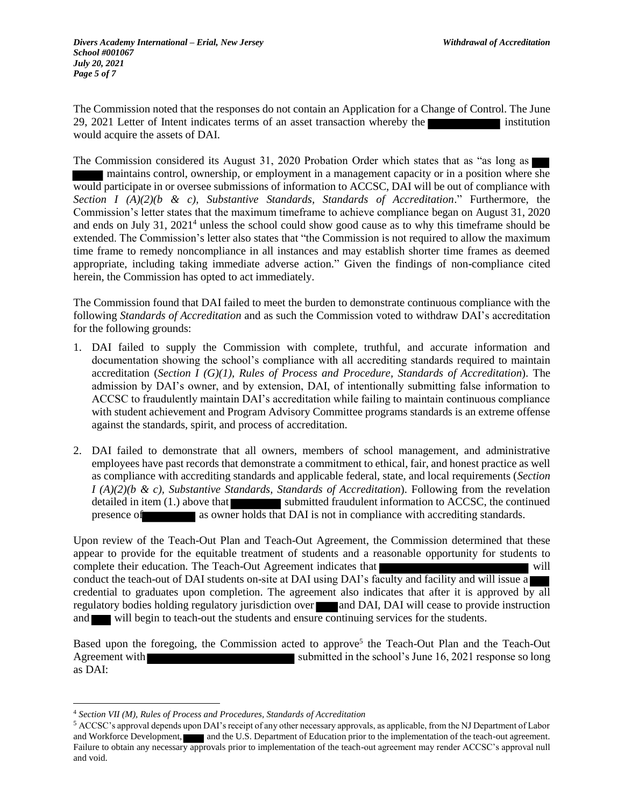The Commission noted that the responses do not contain an Application for a Change of Control. The June 29, 2021 Letter of Intent indicates terms of an asset transaction whereby the institution would acquire the assets of DAI.

The Commission considered its August 31, 2020 Probation Order which states that as "as long as maintains control, ownership, or employment in a management capacity or in a position where she would participate in or oversee submissions of information to ACCSC, DAI will be out of compliance with *Section I (A)(2)(b & c), Substantive Standards, Standards of Accreditation*." Furthermore, the Commission's letter states that the maximum timeframe to achieve compliance began on August 31, 2020 and ends on July 31, 2021<sup>4</sup> unless the school could show good cause as to why this timeframe should be extended. The Commission's letter also states that "the Commission is not required to allow the maximum time frame to remedy noncompliance in all instances and may establish shorter time frames as deemed appropriate, including taking immediate adverse action." Given the findings of non-compliance cited herein, the Commission has opted to act immediately.

The Commission found that DAI failed to meet the burden to demonstrate continuous compliance with the following *Standards of Accreditation* and as such the Commission voted to withdraw DAI's accreditation for the following grounds:

- 1. DAI failed to supply the Commission with complete, truthful, and accurate information and documentation showing the school's compliance with all accrediting standards required to maintain accreditation (*Section I (G)(1), Rules of Process and Procedure, Standards of Accreditation*). The admission by DAI's owner, and by extension, DAI, of intentionally submitting false information to ACCSC to fraudulently maintain DAI's accreditation while failing to maintain continuous compliance with student achievement and Program Advisory Committee programs standards is an extreme offense against the standards, spirit, and process of accreditation.
- 2. DAI failed to demonstrate that all owners, members of school management, and administrative employees have past records that demonstrate a commitment to ethical, fair, and honest practice as well as compliance with accrediting standards and applicable federal, state, and local requirements (*Section I (A)(2)(b & c), Substantive Standards, Standards of Accreditation*). Following from the revelation detailed in item (1.) above that submitted fraudulent information to ACCSC, the continued presence of as owner holds that DAI is not in compliance with accrediting standards.

Upon review of the Teach-Out Plan and Teach-Out Agreement, the Commission determined that these appear to provide for the equitable treatment of students and a reasonable opportunity for students to complete their education. The Teach-Out Agreement indicates that will conduct the teach-out of DAI students on-site at DAI using DAI's faculty and facility and will issue a credential to graduates upon completion. The agreement also indicates that after it is approved by all regulatory bodies holding regulatory jurisdiction over and DAI, DAI will cease to provide instruction and will begin to teach-out the students and ensure continuing services for the students.

Based upon the foregoing, the Commission acted to approve<sup>5</sup> the Teach-Out Plan and the Teach-Out Agreement with submitted in the school's June 16, 2021 response so long as DAI:

 $\overline{a}$ 

<sup>4</sup> *Section VII (M), Rules of Process and Procedures, Standards of Accreditation*

<sup>5</sup> ACCSC's approval depends upon DAI's receipt of any other necessary approvals, as applicable, from the NJ Department of Labor and Workforce Development, and the U.S. Department of Education prior to the implementation of the teach-out agreement. Failure to obtain any necessary approvals prior to implementation of the teach-out agreement may render ACCSC's approval null and void.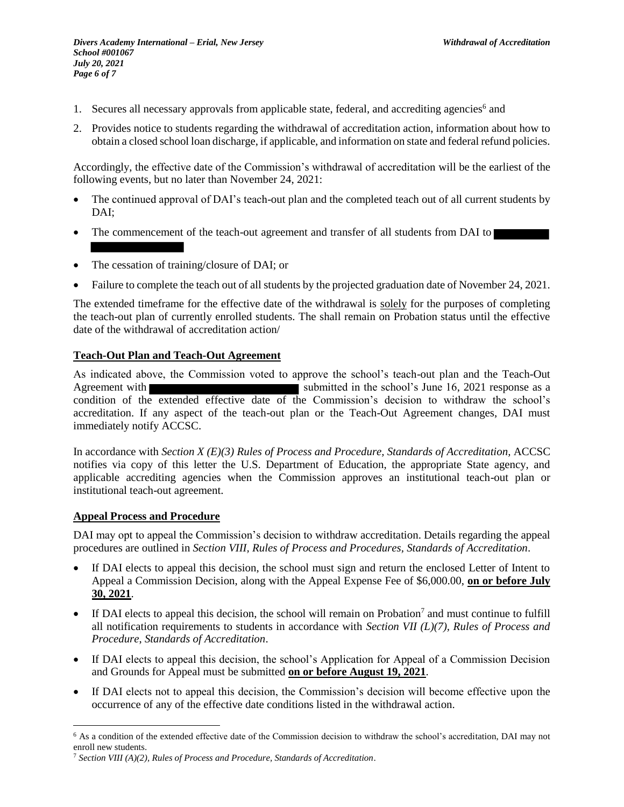- 1. Secures all necessary approvals from applicable state, federal, and accrediting agencies<sup>6</sup> and
- 2. Provides notice to students regarding the withdrawal of accreditation action, information about how to obtain a closed school loan discharge, if applicable, and information on state and federal refund policies.

Accordingly, the effective date of the Commission's withdrawal of accreditation will be the earliest of the following events, but no later than November 24, 2021:

- The continued approval of DAI's teach-out plan and the completed teach out of all current students by DAI;
- The commencement of the teach-out agreement and transfer of all students from DAI to
- The cessation of training/closure of DAI; or
- Failure to complete the teach out of all students by the projected graduation date of November 24, 2021.

The extended timeframe for the effective date of the withdrawal is solely for the purposes of completing the teach-out plan of currently enrolled students. The shall remain on Probation status until the effective date of the withdrawal of accreditation action/

## **Teach-Out Plan and Teach-Out Agreement**

As indicated above, the Commission voted to approve the school's teach-out plan and the Teach-Out Agreement with submitted in the school's June 16, 2021 response as a condition of the extended effective date of the Commission's decision to withdraw the school's accreditation. If any aspect of the teach-out plan or the Teach-Out Agreement changes, DAI must immediately notify ACCSC.

In accordance with *Section X (E)(3) Rules of Process and Procedure, Standards of Accreditation,* ACCSC notifies via copy of this letter the U.S. Department of Education, the appropriate State agency, and applicable accrediting agencies when the Commission approves an institutional teach-out plan or institutional teach-out agreement.

#### **Appeal Process and Procedure**

 $\overline{a}$ 

DAI may opt to appeal the Commission's decision to withdraw accreditation. Details regarding the appeal procedures are outlined in *Section VIII, Rules of Process and Procedures, Standards of Accreditation*.

- If DAI elects to appeal this decision, the school must sign and return the enclosed Letter of Intent to Appeal a Commission Decision, along with the Appeal Expense Fee of \$6,000.00, **on or before July 30, 2021**.
- If DAI elects to appeal this decision, the school will remain on Probation<sup>7</sup> and must continue to fulfill all notification requirements to students in accordance with *Section VII (L)(7), Rules of Process and Procedure*, *Standards of Accreditation*.
- If DAI elects to appeal this decision, the school's Application for Appeal of a Commission Decision and Grounds for Appeal must be submitted **on or before August 19, 2021**.
- If DAI elects not to appeal this decision, the Commission's decision will become effective upon the occurrence of any of the effective date conditions listed in the withdrawal action.

<sup>6</sup> As a condition of the extended effective date of the Commission decision to withdraw the school's accreditation, DAI may not enroll new students.

<sup>7</sup> *Section VIII (A)(2), Rules of Process and Procedure, Standards of Accreditation*.